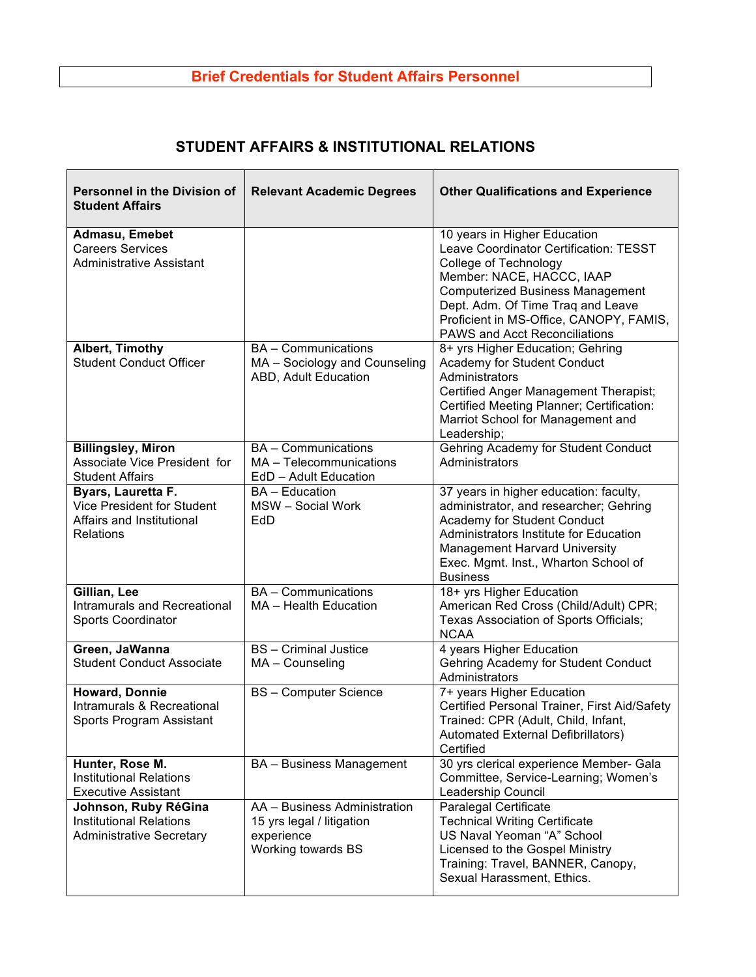## **Brief Credentials for Student Affairs Personnel**

## **STUDENT AFFAIRS & INSTITUTIONAL RELATIONS**

| <b>Personnel in the Division of</b><br><b>Student Affairs</b>                              | <b>Relevant Academic Degrees</b>                                                              | <b>Other Qualifications and Experience</b>                                                                                                                                                                                                                                                             |
|--------------------------------------------------------------------------------------------|-----------------------------------------------------------------------------------------------|--------------------------------------------------------------------------------------------------------------------------------------------------------------------------------------------------------------------------------------------------------------------------------------------------------|
| Admasu, Emebet<br><b>Careers Services</b><br><b>Administrative Assistant</b>               |                                                                                               | 10 years in Higher Education<br>Leave Coordinator Certification: TESST<br><b>College of Technology</b><br>Member: NACE, HACCC, IAAP<br><b>Computerized Business Management</b><br>Dept. Adm. Of Time Traq and Leave<br>Proficient in MS-Office, CANOPY, FAMIS,<br><b>PAWS and Acct Reconciliations</b> |
| Albert, Timothy<br><b>Student Conduct Officer</b>                                          | <b>BA</b> - Communications<br>MA - Sociology and Counseling<br>ABD, Adult Education           | 8+ yrs Higher Education; Gehring<br>Academy for Student Conduct<br>Administrators<br>Certified Anger Management Therapist;<br>Certified Meeting Planner; Certification:<br>Marriot School for Management and<br>Leadership;                                                                            |
| <b>Billingsley, Miron</b><br>Associate Vice President for<br><b>Student Affairs</b>        | <b>BA</b> - Communications<br>MA - Telecommunications<br>EdD - Adult Education                | Gehring Academy for Student Conduct<br>Administrators                                                                                                                                                                                                                                                  |
| Byars, Lauretta F.<br>Vice President for Student<br>Affairs and Institutional<br>Relations | <b>BA</b> - Education<br>MSW - Social Work<br>EdD                                             | 37 years in higher education: faculty,<br>administrator, and researcher; Gehring<br>Academy for Student Conduct<br>Administrators Institute for Education<br><b>Management Harvard University</b><br>Exec. Mgmt. Inst., Wharton School of<br><b>Business</b>                                           |
| Gillian, Lee<br><b>Intramurals and Recreational</b><br>Sports Coordinator                  | <b>BA</b> - Communications<br>MA - Health Education                                           | 18+ yrs Higher Education<br>American Red Cross (Child/Adult) CPR;<br>Texas Association of Sports Officials;<br><b>NCAA</b>                                                                                                                                                                             |
| Green, JaWanna<br><b>Student Conduct Associate</b>                                         | <b>BS</b> - Criminal Justice<br>MA - Counseling                                               | 4 years Higher Education<br>Gehring Academy for Student Conduct<br>Administrators                                                                                                                                                                                                                      |
| <b>Howard, Donnie</b><br>Intramurals & Recreational<br>Sports Program Assistant            | <b>BS-Computer Science</b>                                                                    | 7+ years Higher Education<br>Certified Personal Trainer, First Aid/Safety<br>Trained: CPR (Adult, Child, Infant,<br>Automated External Defibrillators)<br>Certified                                                                                                                                    |
| Hunter, Rose M.<br><b>Institutional Relations</b><br><b>Executive Assistant</b>            | <b>BA</b> - Business Management                                                               | 30 yrs clerical experience Member- Gala<br>Committee, Service-Learning; Women's<br>Leadership Council                                                                                                                                                                                                  |
| Johnson, Ruby RéGina<br><b>Institutional Relations</b><br><b>Administrative Secretary</b>  | AA - Business Administration<br>15 yrs legal / litigation<br>experience<br>Working towards BS | <b>Paralegal Certificate</b><br><b>Technical Writing Certificate</b><br>US Naval Yeoman "A" School<br>Licensed to the Gospel Ministry<br>Training: Travel, BANNER, Canopy,<br>Sexual Harassment, Ethics.                                                                                               |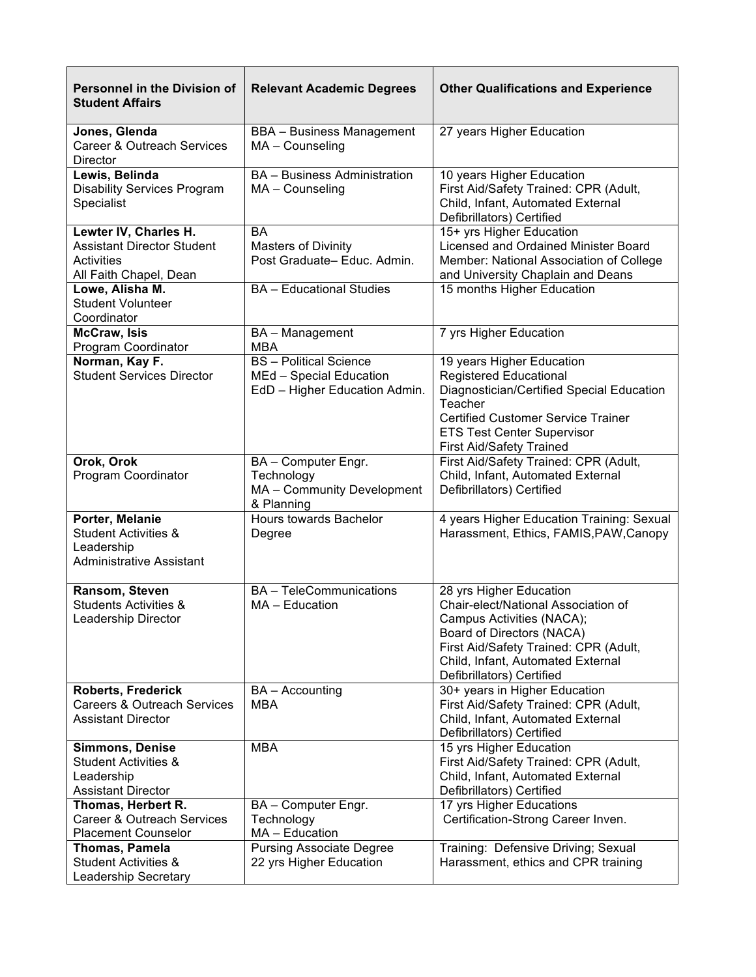| <b>Personnel in the Division of</b><br><b>Student Affairs</b>                                             | <b>Relevant Academic Degrees</b>                                                          | <b>Other Qualifications and Experience</b>                                                                                                                                                                                          |
|-----------------------------------------------------------------------------------------------------------|-------------------------------------------------------------------------------------------|-------------------------------------------------------------------------------------------------------------------------------------------------------------------------------------------------------------------------------------|
| Jones, Glenda<br>Career & Outreach Services<br>Director                                                   | <b>BBA</b> - Business Management<br>MA - Counseling                                       | 27 years Higher Education                                                                                                                                                                                                           |
| Lewis, Belinda<br><b>Disability Services Program</b><br>Specialist                                        | <b>BA</b> - Business Administration<br>MA - Counseling                                    | 10 years Higher Education<br>First Aid/Safety Trained: CPR (Adult,<br>Child, Infant, Automated External<br>Defibrillators) Certified                                                                                                |
| Lewter IV, Charles H.<br><b>Assistant Director Student</b><br><b>Activities</b><br>All Faith Chapel, Dean | BA<br><b>Masters of Divinity</b><br>Post Graduate-Educ. Admin.                            | 15+ yrs Higher Education<br>Licensed and Ordained Minister Board<br>Member: National Association of College<br>and University Chaplain and Deans                                                                                    |
| Lowe, Alisha M.<br><b>Student Volunteer</b><br>Coordinator                                                | <b>BA</b> - Educational Studies                                                           | 15 months Higher Education                                                                                                                                                                                                          |
| <b>McCraw, Isis</b><br>Program Coordinator                                                                | BA - Management<br><b>MBA</b>                                                             | 7 yrs Higher Education                                                                                                                                                                                                              |
| Norman, Kay F.<br><b>Student Services Director</b>                                                        | <b>BS</b> - Political Science<br>MEd - Special Education<br>EdD - Higher Education Admin. | 19 years Higher Education<br>Registered Educational<br>Diagnostician/Certified Special Education<br>Teacher<br><b>Certified Customer Service Trainer</b><br><b>ETS Test Center Supervisor</b><br><b>First Aid/Safety Trained</b>    |
| Orok, Orok<br>Program Coordinator                                                                         | BA - Computer Engr.<br>Technology<br>MA - Community Development<br>& Planning             | First Aid/Safety Trained: CPR (Adult,<br>Child, Infant, Automated External<br>Defibrillators) Certified                                                                                                                             |
| Porter, Melanie<br><b>Student Activities &amp;</b><br>Leadership<br><b>Administrative Assistant</b>       | Hours towards Bachelor<br>Degree                                                          | 4 years Higher Education Training: Sexual<br>Harassment, Ethics, FAMIS, PAW, Canopy                                                                                                                                                 |
| Ransom, Steven<br><b>Students Activities &amp;</b><br>Leadership Director                                 | <b>BA</b> - TeleCommunications<br>MA - Education                                          | 28 yrs Higher Education<br>Chair-elect/National Association of<br>Campus Activities (NACA);<br>Board of Directors (NACA)<br>First Aid/Safety Trained: CPR (Adult,<br>Child, Infant, Automated External<br>Defibrillators) Certified |
| <b>Roberts, Frederick</b><br><b>Careers &amp; Outreach Services</b><br><b>Assistant Director</b>          | <b>BA</b> – Accounting<br>MBA                                                             | 30+ years in Higher Education<br>First Aid/Safety Trained: CPR (Adult,<br>Child, Infant, Automated External<br>Defibrillators) Certified                                                                                            |
| <b>Simmons, Denise</b><br><b>Student Activities &amp;</b><br>Leadership<br><b>Assistant Director</b>      | <b>MBA</b>                                                                                | 15 yrs Higher Education<br>First Aid/Safety Trained: CPR (Adult,<br>Child, Infant, Automated External<br>Defibrillators) Certified                                                                                                  |
| Thomas, Herbert R.<br>Career & Outreach Services<br><b>Placement Counselor</b>                            | BA - Computer Engr.<br>Technology<br>MA - Education                                       | 17 yrs Higher Educations<br>Certification-Strong Career Inven.                                                                                                                                                                      |
| <b>Thomas, Pamela</b><br><b>Student Activities &amp;</b><br><b>Leadership Secretary</b>                   | <b>Pursing Associate Degree</b><br>22 yrs Higher Education                                | Training: Defensive Driving; Sexual<br>Harassment, ethics and CPR training                                                                                                                                                          |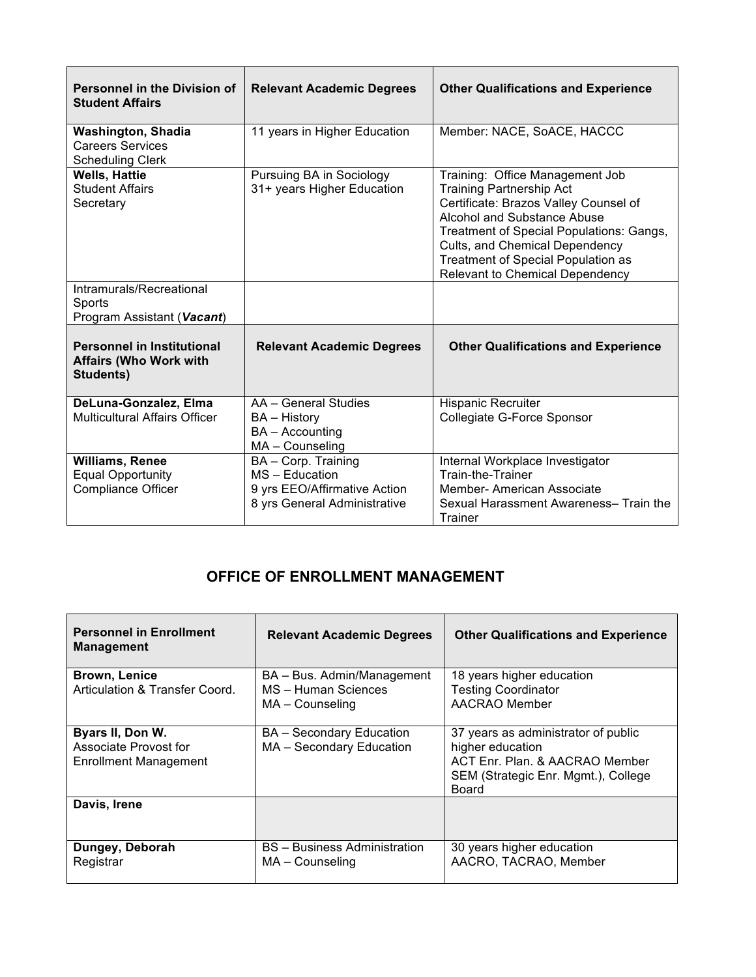| <b>Personnel in the Division of</b><br><b>Student Affairs</b>                   | <b>Relevant Academic Degrees</b>                                                                      | <b>Other Qualifications and Experience</b>                                                                                                                                                                                                                                                                      |
|---------------------------------------------------------------------------------|-------------------------------------------------------------------------------------------------------|-----------------------------------------------------------------------------------------------------------------------------------------------------------------------------------------------------------------------------------------------------------------------------------------------------------------|
| <b>Washington, Shadia</b><br><b>Careers Services</b><br><b>Scheduling Clerk</b> | 11 years in Higher Education                                                                          | Member: NACE, SoACE, HACCC                                                                                                                                                                                                                                                                                      |
| <b>Wells, Hattie</b><br><b>Student Affairs</b><br>Secretary                     | Pursuing BA in Sociology<br>31+ years Higher Education                                                | Training: Office Management Job<br><b>Training Partnership Act</b><br>Certificate: Brazos Valley Counsel of<br>Alcohol and Substance Abuse<br>Treatment of Special Populations: Gangs,<br>Cults, and Chemical Dependency<br><b>Treatment of Special Population as</b><br><b>Relevant to Chemical Dependency</b> |
| Intramurals/Recreational<br>Sports<br>Program Assistant (Vacant)                |                                                                                                       |                                                                                                                                                                                                                                                                                                                 |
| <b>Personnel in Institutional</b><br><b>Affairs (Who Work with</b><br>Students) | <b>Relevant Academic Degrees</b>                                                                      | <b>Other Qualifications and Experience</b>                                                                                                                                                                                                                                                                      |
| DeLuna-Gonzalez, Elma<br><b>Multicultural Affairs Officer</b>                   | AA - General Studies<br><b>BA</b> – History<br>BA - Accounting<br>MA - Counseling                     | <b>Hispanic Recruiter</b><br>Collegiate G-Force Sponsor                                                                                                                                                                                                                                                         |
| <b>Williams, Renee</b><br><b>Equal Opportunity</b><br><b>Compliance Officer</b> | BA - Corp. Training<br>MS - Education<br>9 yrs EEO/Affirmative Action<br>8 yrs General Administrative | Internal Workplace Investigator<br>Train-the-Trainer<br><b>Member-American Associate</b><br>Sexual Harassment Awareness- Train the<br>Trainer                                                                                                                                                                   |

## **OFFICE OF ENROLLMENT MANAGEMENT**

| <b>Personnel in Enrollment</b><br><b>Management</b>                       | <b>Relevant Academic Degrees</b>                     | <b>Other Qualifications and Experience</b>                                                                                                       |
|---------------------------------------------------------------------------|------------------------------------------------------|--------------------------------------------------------------------------------------------------------------------------------------------------|
| <b>Brown, Lenice</b>                                                      | BA - Bus. Admin/Management                           | 18 years higher education                                                                                                                        |
| Articulation & Transfer Coord.                                            | MS - Human Sciences<br>$MA$ – Counseling             | <b>Testing Coordinator</b><br>AACRAO Member                                                                                                      |
|                                                                           |                                                      |                                                                                                                                                  |
| Byars II, Don W.<br>Associate Provost for<br><b>Enrollment Management</b> | BA – Secondary Education<br>MA - Secondary Education | 37 years as administrator of public<br>higher education<br>ACT Enr. Plan. & AACRAO Member<br>SEM (Strategic Enr. Mgmt.), College<br><b>Board</b> |
| Davis, Irene                                                              |                                                      |                                                                                                                                                  |
|                                                                           |                                                      |                                                                                                                                                  |
| Dungey, Deborah                                                           | <b>BS</b> – Business Administration                  | 30 years higher education                                                                                                                        |
| Registrar                                                                 | MA – Counseling                                      | AACRO, TACRAO, Member                                                                                                                            |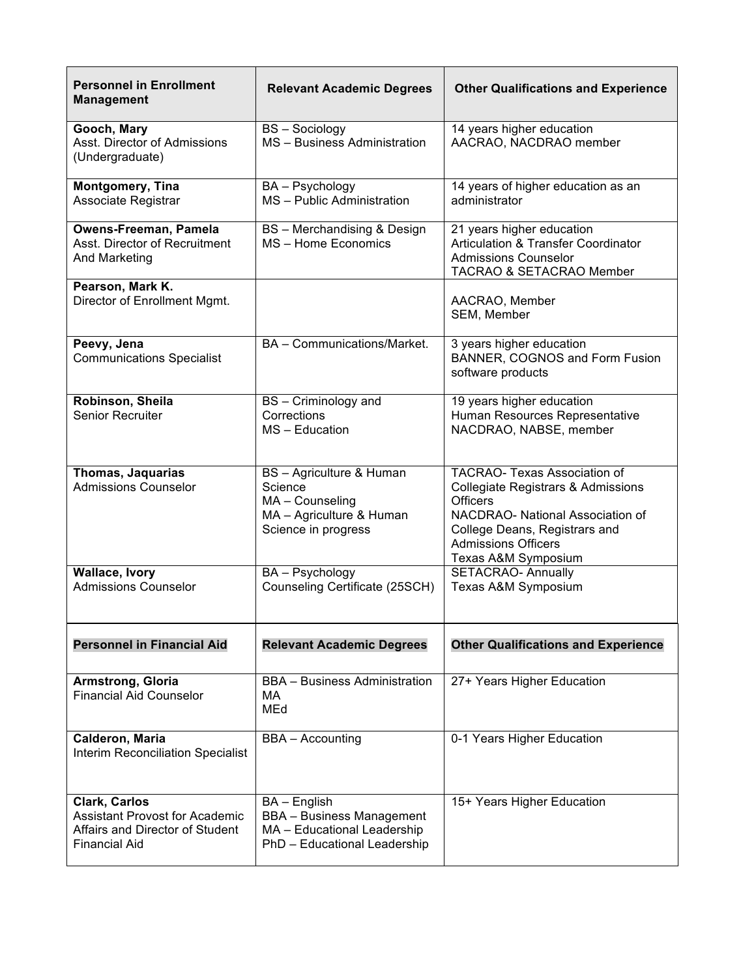| <b>Personnel in Enrollment</b><br><b>Management</b>                                                               | <b>Relevant Academic Degrees</b>                                                                                | <b>Other Qualifications and Experience</b>                                                                                                                                                                                        |
|-------------------------------------------------------------------------------------------------------------------|-----------------------------------------------------------------------------------------------------------------|-----------------------------------------------------------------------------------------------------------------------------------------------------------------------------------------------------------------------------------|
| Gooch, Mary<br>Asst. Director of Admissions<br>(Undergraduate)                                                    | <b>BS-Sociology</b><br>MS - Business Administration                                                             | 14 years higher education<br>AACRAO, NACDRAO member                                                                                                                                                                               |
| Montgomery, Tina<br>Associate Registrar                                                                           | BA - Psychology<br>MS - Public Administration                                                                   | 14 years of higher education as an<br>administrator                                                                                                                                                                               |
| Owens-Freeman, Pamela<br>Asst. Director of Recruitment<br>And Marketing                                           | BS - Merchandising & Design<br>MS - Home Economics                                                              | 21 years higher education<br><b>Articulation &amp; Transfer Coordinator</b><br><b>Admissions Counselor</b><br><b>TACRAO &amp; SETACRAO Member</b>                                                                                 |
| Pearson, Mark K.<br>Director of Enrollment Mgmt.                                                                  |                                                                                                                 | AACRAO, Member<br>SEM, Member                                                                                                                                                                                                     |
| Peevy, Jena<br><b>Communications Specialist</b>                                                                   | BA - Communications/Market.                                                                                     | 3 years higher education<br>BANNER, COGNOS and Form Fusion<br>software products                                                                                                                                                   |
| Robinson, Sheila<br><b>Senior Recruiter</b>                                                                       | BS - Criminology and<br>Corrections<br>$MS - Education$                                                         | 19 years higher education<br>Human Resources Representative<br>NACDRAO, NABSE, member                                                                                                                                             |
| <b>Thomas, Jaquarias</b><br><b>Admissions Counselor</b>                                                           | BS - Agriculture & Human<br>Science<br>MA - Counseling<br>MA - Agriculture & Human<br>Science in progress       | <b>TACRAO- Texas Association of</b><br><b>Collegiate Registrars &amp; Admissions</b><br><b>Officers</b><br>NACDRAO- National Association of<br>College Deans, Registrars and<br><b>Admissions Officers</b><br>Texas A&M Symposium |
| <b>Wallace, Ivory</b><br><b>Admissions Counselor</b>                                                              | BA - Psychology<br>Counseling Certificate (25SCH)                                                               | <b>SETACRAO- Annually</b><br>Texas A&M Symposium                                                                                                                                                                                  |
| <b>Personnel in Financial Aid</b>                                                                                 | <b>Relevant Academic Degrees</b>                                                                                | <b>Other Qualifications and Experience</b>                                                                                                                                                                                        |
| <b>Armstrong, Gloria</b><br><b>Financial Aid Counselor</b>                                                        | <b>BBA</b> - Business Administration<br>MA<br>MEd                                                               | 27+ Years Higher Education                                                                                                                                                                                                        |
| Calderon, Maria<br>Interim Reconciliation Specialist                                                              | <b>BBA</b> – Accounting                                                                                         | 0-1 Years Higher Education                                                                                                                                                                                                        |
| Clark, Carlos<br><b>Assistant Provost for Academic</b><br>Affairs and Director of Student<br><b>Financial Aid</b> | BA - English<br><b>BBA</b> - Business Management<br>MA - Educational Leadership<br>PhD - Educational Leadership | 15+ Years Higher Education                                                                                                                                                                                                        |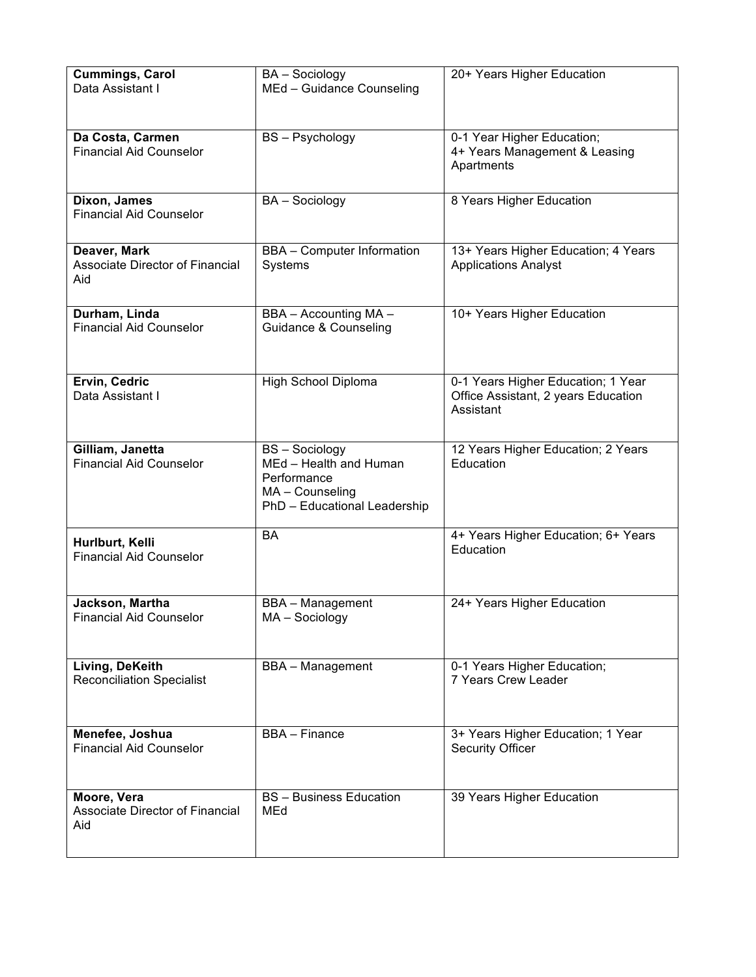| <b>Cummings, Carol</b><br>Data Assistant I             | <b>BA</b> - Sociology<br>MEd - Guidance Counseling                                                              | 20+ Years Higher Education                                                             |
|--------------------------------------------------------|-----------------------------------------------------------------------------------------------------------------|----------------------------------------------------------------------------------------|
|                                                        |                                                                                                                 |                                                                                        |
| Da Costa, Carmen<br><b>Financial Aid Counselor</b>     | <b>BS-Psychology</b>                                                                                            | 0-1 Year Higher Education;<br>4+ Years Management & Leasing<br>Apartments              |
| Dixon, James<br><b>Financial Aid Counselor</b>         | <b>BA</b> - Sociology                                                                                           | 8 Years Higher Education                                                               |
| Deaver, Mark<br>Associate Director of Financial<br>Aid | <b>BBA</b> - Computer Information<br>Systems                                                                    | 13+ Years Higher Education; 4 Years<br><b>Applications Analyst</b>                     |
| Durham, Linda<br><b>Financial Aid Counselor</b>        | BBA - Accounting MA -<br>Guidance & Counseling                                                                  | 10+ Years Higher Education                                                             |
| Ervin, Cedric<br>Data Assistant I                      | High School Diploma                                                                                             | 0-1 Years Higher Education; 1 Year<br>Office Assistant, 2 years Education<br>Assistant |
| Gilliam, Janetta<br><b>Financial Aid Counselor</b>     | <b>BS-Sociology</b><br>MEd - Health and Human<br>Performance<br>MA - Counseling<br>PhD - Educational Leadership | 12 Years Higher Education; 2 Years<br>Education                                        |
| Hurlburt, Kelli<br><b>Financial Aid Counselor</b>      | <b>BA</b>                                                                                                       | 4+ Years Higher Education; 6+ Years<br>Education                                       |
| Jackson, Martha<br><b>Financial Aid Counselor</b>      | <b>BBA</b> - Management<br>MA - Sociology                                                                       | 24+ Years Higher Education                                                             |
| Living, DeKeith<br><b>Reconciliation Specialist</b>    | <b>BBA</b> - Management                                                                                         | 0-1 Years Higher Education;<br><b>7 Years Crew Leader</b>                              |
| Menefee, Joshua<br><b>Financial Aid Counselor</b>      | <b>BBA</b> - Finance                                                                                            | 3+ Years Higher Education; 1 Year<br><b>Security Officer</b>                           |
| Moore, Vera<br>Associate Director of Financial<br>Aid  | <b>BS</b> - Business Education<br>MEd                                                                           | 39 Years Higher Education                                                              |